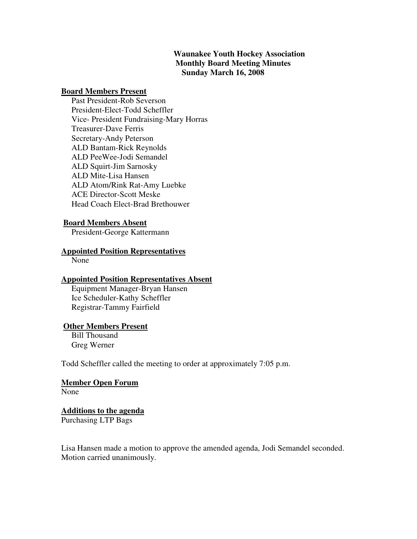# **Waunakee Youth Hockey Association Monthly Board Meeting Minutes Sunday March 16, 2008**

#### **Board Members Present**

 Past President-Rob Severson President-Elect-Todd Scheffler Vice- President Fundraising-Mary Horras Treasurer-Dave Ferris Secretary-Andy Peterson ALD Bantam-Rick Reynolds ALD PeeWee-Jodi Semandel ALD Squirt-Jim Sarnosky ALD Mite-Lisa Hansen ALD Atom/Rink Rat-Amy Luebke ACE Director-Scott Meske Head Coach Elect-Brad Brethouwer

## **Board Members Absent**

President-George Kattermann

#### **Appointed Position Representatives**

None

#### **Appointed Position Representatives Absent**

 Equipment Manager-Bryan Hansen Ice Scheduler-Kathy Scheffler Registrar-Tammy Fairfield

#### **Other Members Present**

 Bill Thousand Greg Werner

Todd Scheffler called the meeting to order at approximately 7:05 p.m.

#### **Member Open Forum** None

# **Additions to the agenda**

Purchasing LTP Bags

Lisa Hansen made a motion to approve the amended agenda, Jodi Semandel seconded. Motion carried unanimously.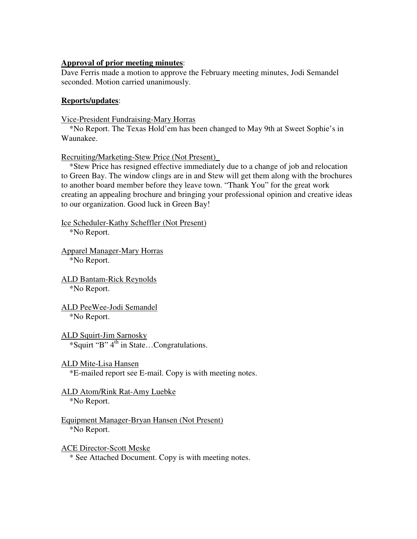## **Approval of prior meeting minutes**:

Dave Ferris made a motion to approve the February meeting minutes, Jodi Semandel seconded. Motion carried unanimously.

### **Reports/updates**:

Vice-President Fundraising-Mary Horras

\*No Report. The Texas Hold'em has been changed to May 9th at Sweet Sophie's in Waunakee.

Recruiting/Marketing-Stew Price (Not Present)\_

 \*Stew Price has resigned effective immediately due to a change of job and relocation to Green Bay. The window clings are in and Stew will get them along with the brochures to another board member before they leave town. "Thank You" for the great work creating an appealing brochure and bringing your professional opinion and creative ideas to our organization. Good luck in Green Bay!

Ice Scheduler-Kathy Scheffler (Not Present) \*No Report.

Apparel Manager-Mary Horras \*No Report.

ALD Bantam-Rick Reynolds \*No Report.

ALD PeeWee-Jodi Semandel \*No Report.

ALD Squirt-Jim Sarnosky \*Squirt "B" 4th in State…Congratulations.

ALD Mite-Lisa Hansen \*E-mailed report see E-mail. Copy is with meeting notes.

ALD Atom/Rink Rat-Amy Luebke

\*No Report.

Equipment Manager-Bryan Hansen (Not Present) \*No Report.

ACE Director-Scott Meske \* See Attached Document. Copy is with meeting notes.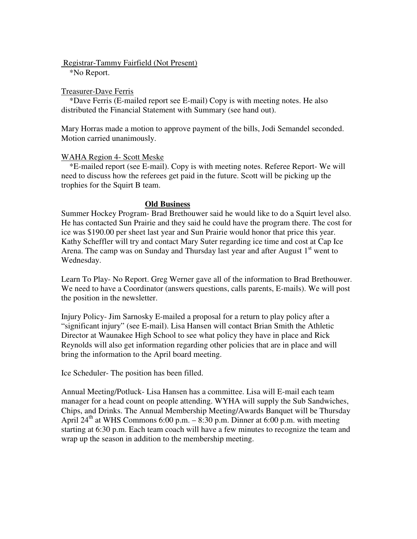Registrar-Tammy Fairfield (Not Present)

\*No Report.

### Treasurer-Dave Ferris

 \*Dave Ferris (E-mailed report see E-mail) Copy is with meeting notes. He also distributed the Financial Statement with Summary (see hand out).

Mary Horras made a motion to approve payment of the bills, Jodi Semandel seconded. Motion carried unanimously.

## WAHA Region 4- Scott Meske

 \*E-mailed report (see E-mail). Copy is with meeting notes. Referee Report- We will need to discuss how the referees get paid in the future. Scott will be picking up the trophies for the Squirt B team.

## **Old Business**

Summer Hockey Program- Brad Brethouwer said he would like to do a Squirt level also. He has contacted Sun Prairie and they said he could have the program there. The cost for ice was \$190.00 per sheet last year and Sun Prairie would honor that price this year. Kathy Scheffler will try and contact Mary Suter regarding ice time and cost at Cap Ice Arena. The camp was on Sunday and Thursday last year and after August  $1<sup>st</sup>$  went to Wednesday.

Learn To Play- No Report. Greg Werner gave all of the information to Brad Brethouwer. We need to have a Coordinator (answers questions, calls parents, E-mails). We will post the position in the newsletter.

Injury Policy- Jim Sarnosky E-mailed a proposal for a return to play policy after a "significant injury" (see E-mail). Lisa Hansen will contact Brian Smith the Athletic Director at Waunakee High School to see what policy they have in place and Rick Reynolds will also get information regarding other policies that are in place and will bring the information to the April board meeting.

Ice Scheduler- The position has been filled.

Annual Meeting/Potluck- Lisa Hansen has a committee. Lisa will E-mail each team manager for a head count on people attending. WYHA will supply the Sub Sandwiches, Chips, and Drinks. The Annual Membership Meeting/Awards Banquet will be Thursday April 24<sup>th</sup> at WHS Commons 6:00 p.m. – 8:30 p.m. Dinner at 6:00 p.m. with meeting starting at 6:30 p.m. Each team coach will have a few minutes to recognize the team and wrap up the season in addition to the membership meeting.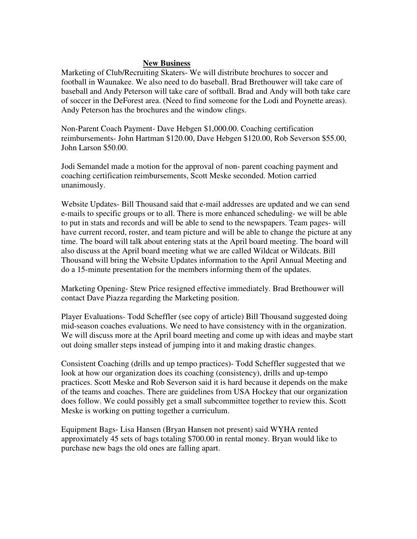## **New Business**

Marketing of Club/Recruiting Skaters- We will distribute brochures to soccer and football in Waunakee. We also need to do baseball. Brad Brethouwer will take care of baseball and Andy Peterson will take care of softball. Brad and Andy will both take care of soccer in the DeForest area. (Need to find someone for the Lodi and Poynette areas). Andy Peterson has the brochures and the window clings.

Non-Parent Coach Payment- Dave Hebgen \$1,000.00. Coaching certification reimbursements- John Hartman \$120.00, Dave Hebgen \$120.00, Rob Severson \$55.00, John Larson \$50.00.

Jodi Semandel made a motion for the approval of non- parent coaching payment and coaching certification reimbursements, Scott Meske seconded. Motion carried unanimously.

Website Updates- Bill Thousand said that e-mail addresses are updated and we can send e-mails to specific groups or to all. There is more enhanced scheduling- we will be able to put in stats and records and will be able to send to the newspapers. Team pages- will have current record, roster, and team picture and will be able to change the picture at any time. The board will talk about entering stats at the April board meeting. The board will also discuss at the April board meeting what we are called Wildcat or Wildcats. Bill Thousand will bring the Website Updates information to the April Annual Meeting and do a 15-minute presentation for the members informing them of the updates.

Marketing Opening- Stew Price resigned effective immediately. Brad Brethouwer will contact Dave Piazza regarding the Marketing position.

Player Evaluations- Todd Scheffler (see copy of article) Bill Thousand suggested doing mid-season coaches evaluations. We need to have consistency with in the organization. We will discuss more at the April board meeting and come up with ideas and maybe start out doing smaller steps instead of jumping into it and making drastic changes.

Consistent Coaching (drills and up tempo practices)- Todd Scheffler suggested that we look at how our organization does its coaching (consistency), drills and up-tempo practices. Scott Meske and Rob Severson said it is hard because it depends on the make of the teams and coaches. There are guidelines from USA Hockey that our organization does follow. We could possibly get a small subcommittee together to review this. Scott Meske is working on putting together a curriculum.

Equipment Bags- Lisa Hansen (Bryan Hansen not present) said WYHA rented approximately 45 sets of bags totaling \$700.00 in rental money. Bryan would like to purchase new bags the old ones are falling apart.